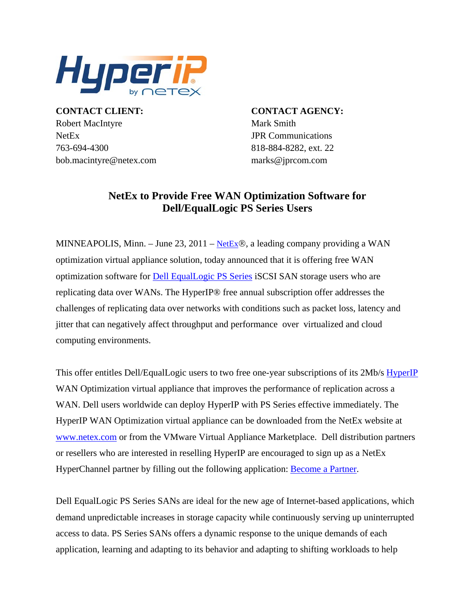

**CONTACT CLIENT: CONTACT AGENCY:** Robert MacIntyre Mark Smith NetEx JPR Communications 763-694-4300 818-884-8282, ext. 22 bob.macintyre@netex.com marks@jprcom.com

## **NetEx to Provide Free WAN Optimization Software for Dell/EqualLogic PS Series Users**

MINNEAPOLIS, Minn. – June 23, 2011 – [NetEx](http://www.netex.com/)®, a leading company providing a WAN optimization virtual appliance solution, today announced that it is offering free WAN optimization software for [Dell EqualLogic PS Series](http://www.dell.com/us/business/p/iscsi-san-products?%7Eck=bt) iSCSI SAN storage users who are replicating data over WANs. The HyperIP® free annual subscription offer addresses the challenges of replicating data over networks with conditions such as packet loss, latency and jitter that can negatively affect throughput and performance over virtualized and cloud computing environments.

This offer entitles Dell/EqualLogic users to two free one-year subscriptions of its 2Mb/s [HyperIP](http://www.netex.com/hyperip) WAN Optimization virtual appliance that improves the performance of replication across a WAN. Dell users worldwide can deploy HyperIP with PS Series effective immediately. The HyperIP WAN Optimization virtual appliance can be downloaded from the NetEx website at [www.netex.com](http://www.netex.com/) or from the VMware Virtual Appliance Marketplace. Dell distribution partners or resellers who are interested in reselling HyperIP are encouraged to sign up as a NetEx HyperChannel partner by filling out the following application: [Become a Partner.](http://www.netex.com/partners/become-a-partner)

Dell EqualLogic PS Series SANs are ideal for the new age of Internet-based applications, which demand unpredictable increases in storage capacity while continuously serving up uninterrupted access to data. PS Series SANs offers a dynamic response to the unique demands of each application, learning and adapting to its behavior and adapting to shifting workloads to help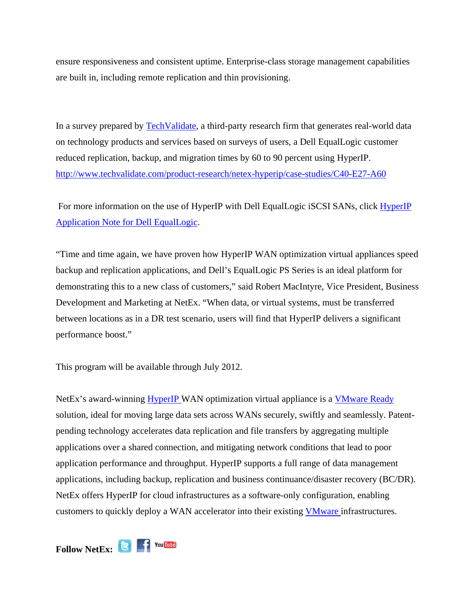ensure responsiveness and consistent uptime. Enterprise-class storage management capabilities are built in, including remote replication and thin provisioning.

In a survey prepared by [TechValidate,](http://www.techvalidate.com/) a third-party research firm that generates real-world data on technology products and services based on surveys of users, a Dell EqualLogic customer reduced replication, backup, and migration times by 60 to 90 percent using HyperIP. <http://www.techvalidate.com/product-research/netex-hyperip/case-studies/C40-E27-A60>

 For more information on the use of HyperIP with Dell EqualLogic iSCSI SANs, click [HyperIP](http://www.netex.com/files/6713/0875/2434/HyperIP_Dell%20EqualLogic%20APPnote%20Ver1.pdf)  [Application Note for Dell EqualLogic.](http://www.netex.com/files/6713/0875/2434/HyperIP_Dell%20EqualLogic%20APPnote%20Ver1.pdf)

"Time and time again, we have proven how HyperIP WAN optimization virtual appliances speed backup and replication applications, and Dell's EqualLogic PS Series is an ideal platform for demonstrating this to a new class of customers," said Robert MacIntyre, Vice President, Business Development and Marketing at NetEx. "When data, or virtual systems, must be transferred between locations as in a DR test scenario, users will find that HyperIP delivers a significant performance boost."

This program will be available through July 2012.

NetEx's award-winning [HyperIP](http://www.netex.com/) WAN optimization virtual appliance is a [VMware Ready](http://vmblog.com/archive/2010/05/03/netex-hyperip-achieves-vmware-ready-status.aspx) solution, ideal for moving large data sets across WANs securely, swiftly and seamlessly. Patentpending technology accelerates data replication and file transfers by aggregating multiple applications over a shared connection, and mitigating network conditions that lead to poor application performance and throughput. HyperIP supports a full range of data management applications, including backup, replication and business continuance/disaster recovery (BC/DR). NetEx offers HyperIP for cloud infrastructures as a software-only configuration, enabling customers to quickly deploy a WAN accelerator into their existing [VMware](http://www.vmware.com/appliances/directory/155643) infrastructures.

**FollowNetEx: B F** You **Mbe**